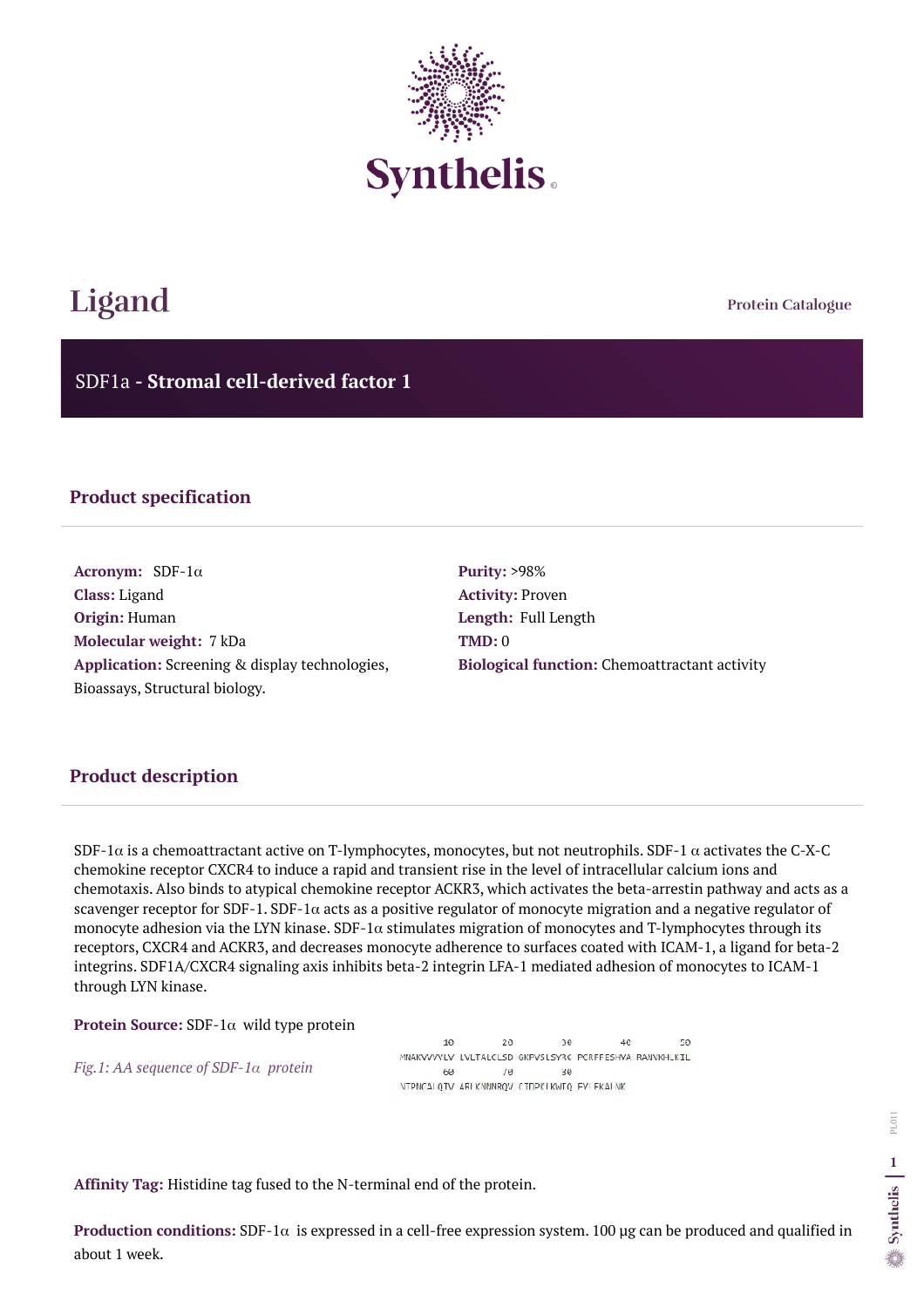**Protein Catalogue**

SDF1a **- Stromal cell-derived factor 1**



# **Ligand**

## **Product specification**

**Acronym:** SDF-1α **Class:** Ligand **Origin:** Human **Molecular weight:** 7 kDa **Application:** Screening & display technologies, Bioassays, Structural biology.

**Purity:** >98% **Activity:** Proven **Length:** Full Length **TMD:** 0 **Biological function:** Chemoattractant activity

## **Product description**

SDF-1 $\alpha$  is a chemoattractant active on T-lymphocytes, monocytes, but not neutrophils. SDF-1  $\alpha$  activates the C-X-C chemokine receptor CXCR4 to induce a rapid and transient rise in the level of intracellular calcium ions and chemotaxis. Also binds to atypical chemokine receptor ACKR3, which activates the beta-arrestin pathway and acts as a scavenger receptor for SDF-1. SDF-1 $\alpha$  acts as a positive regulator of monocyte migration and a negative regulator of monocyte adhesion via the LYN kinase.  $SDF-1\alpha$  stimulates migration of monocytes and T-lymphocytes through its receptors, CXCR4 and ACKR3, and decreases monocyte adherence to surfaces coated with ICAM-1, a ligand for beta-2 integrins. SDF1A/CXCR4 signaling axis inhibits beta-2 integrin LFA-1 mediated adhesion of monocytes to ICAM-1 through LYN kinase.

#### **Protein Source:** SDF-1α wild type protein

*Fig.1: AA sequence of SDF-1α protein* 

10  $20$ 30  $46$  $50$ MNAKVVVVLV LVLTALCLSD GKPVSLSYRC PCRFFESHVA RANVKHLKIL 60  $10^{\circ}$ 30 NTPNCALQTV ARLKNNNRQV CTDPKLKWTQ FY FKALNK

**Affinity Tag:** Histidine tag fused to the N-terminal end of the protein.

**Production conditions:** SDF-1α is expressed in a cell-free expression system. 100 µg can be produced and qualified in about 1 week.